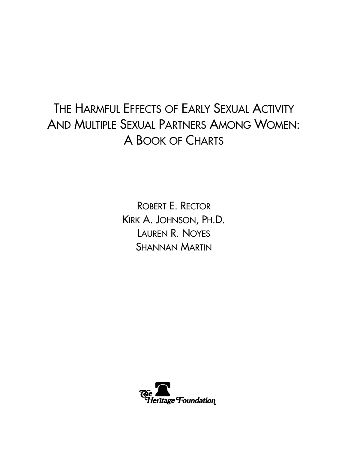# THE HARMFUL EFFECTS OF EARLY SEXUAL ACTIVITY AND MULTIPLE SEXUAL PARTNERS AMONG WOMEN: A BOOK OF CHARTS

ROBERT E. RECTOR KIRK A. JOHNSON, PH.D. LAUREN R. NOYES SHANNAN MARTIN

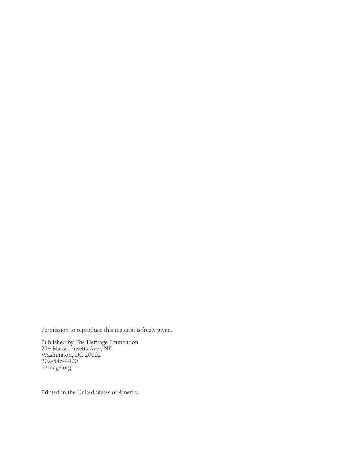Permission to reproduce this material is freely given.

Published by The Heritage Foundation 214 Massachusetts Ave., NE Washington, DC 20002 202-546-4400 heritage.org

Printed in the United States of America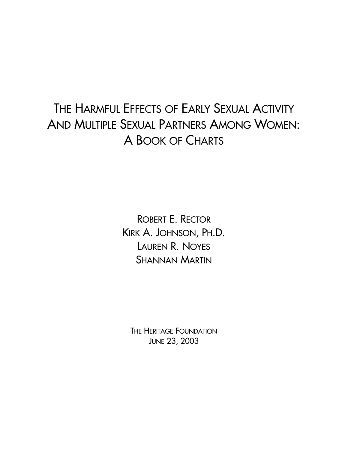# THE HARMFUL EFFECTS OF EARLY SEXUAL ACTIVITY AND MULTIPLE SEXUAL PARTNERS AMONG WOMEN: A BOOK OF CHARTS

ROBERT E. RECTOR KIRK A. JOHNSON, PH.D. LAUREN R. NOYES SHANNAN MARTIN

THE HERITAGE FOUNDATION JUNE 23, 2003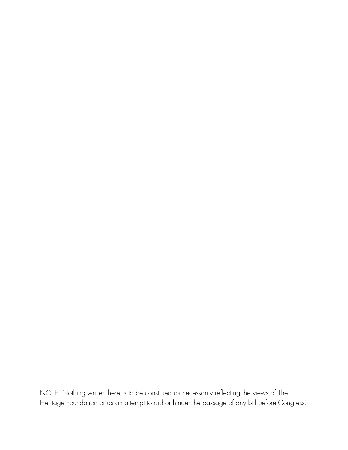NOTE: Nothing written here is to be construed as necessarily reflecting the views of The Heritage Foundation or as an attempt to aid or hinder the passage of any bill before Congress.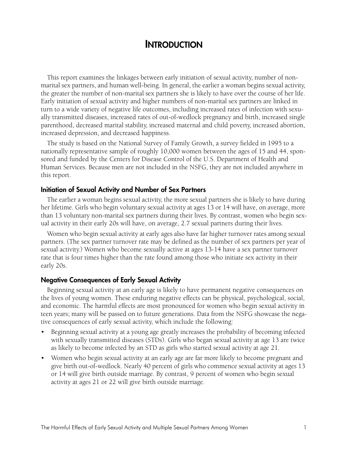#### **INTRODUCTION**

This report examines the linkages between early initiation of sexual activity, number of nonmarital sex partners, and human well-being. In general, the earlier a woman begins sexual activity, the greater the number of non-marital sex partners she is likely to have over the course of her life. Early initiation of sexual activity and higher numbers of non-marital sex partners are linked in turn to a wide variety of negative life outcomes, including increased rates of infection with sexually transmitted diseases, increased rates of out-of-wedlock pregnancy and birth, increased single parenthood, decreased marital stability, increased maternal and child poverty, increased abortion, increased depression, and decreased happiness.

The study is based on the National Survey of Family Growth, a survey fielded in 1995 to a nationally representative sample of roughly 10,000 women between the ages of 15 and 44, sponsored and funded by the Centers for Disease Control of the U.S. Department of Health and Human Services. Because men are not included in the NSFG, they are not included anywhere in this report.

#### **Initiation of Sexual Activity and Number of Sex Partners**

The earlier a woman begins sexual activity, the more sexual partners she is likely to have during her lifetime. Girls who begin voluntary sexual activity at ages 13 or 14 will have, on average, more than 13 voluntary non-marital sex partners during their lives. By contrast, women who begin sexual activity in their early 20s will have, on average, 2.7 sexual partners during their lives.

Women who begin sexual activity at early ages also have far higher turnover rates among sexual partners. (The sex partner turnover rate may be defined as the number of sex partners per year of sexual activity.) Women who become sexually active at ages 13-14 have a sex partner turnover rate that is four times higher than the rate found among those who initiate sex activity in their early 20s.

#### **Negative Consequences of Early Sexual Activity**

Beginning sexual activity at an early age is likely to have permanent negative consequences on the lives of young women. These enduring negative effects can be physical, psychological, social, and economic. The harmful effects are most pronounced for women who begin sexual activity in teen years; many will be passed on to future generations. Data from the NSFG showcase the negative consequences of early sexual activity, which include the following:

- Beginning sexual activity at a young age greatly increases the probability of becoming infected with sexually transmitted diseases (STDs). Girls who began sexual activity at age 13 are twice as likely to become infected by an STD as girls who started sexual activity at age 21.
- Women who begin sexual activity at an early age are far more likely to become pregnant and give birth out-of-wedlock. Nearly 40 percent of girls who commence sexual activity at ages 13 or 14 will give birth outside marriage. By contrast, 9 percent of women who begin sexual activity at ages 21 or 22 will give birth outside marriage.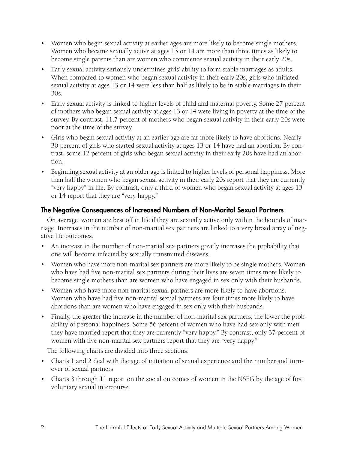- Women who begin sexual activity at earlier ages are more likely to become single mothers. Women who became sexually active at ages 13 or 14 are more than three times as likely to become single parents than are women who commence sexual activity in their early 20s.
- Early sexual activity seriously undermines girls' ability to form stable marriages as adults. When compared to women who began sexual activity in their early 20s, girls who initiated sexual activity at ages 13 or 14 were less than half as likely to be in stable marriages in their 30s.
- Early sexual activity is linked to higher levels of child and maternal poverty. Some 27 percent of mothers who began sexual activity at ages 13 or 14 were living in poverty at the time of the survey. By contrast, 11.7 percent of mothers who began sexual activity in their early 20s were poor at the time of the survey.
- Girls who begin sexual activity at an earlier age are far more likely to have abortions. Nearly 30 percent of girls who started sexual activity at ages 13 or 14 have had an abortion. By contrast, some 12 percent of girls who began sexual activity in their early 20s have had an abortion.
- Beginning sexual activity at an older age is linked to higher levels of personal happiness. More than half the women who began sexual activity in their early 20s report that they are currently "very happy" in life. By contrast, only a third of women who began sexual activity at ages 13 or 14 report that they are "very happy."

#### **The Negative Consequences of Increased Numbers of Non-Marital Sexual Partners**

On average, women are best off in life if they are sexually active only within the bounds of marriage. Increases in the number of non-marital sex partners are linked to a very broad array of negative life outcomes.

- An increase in the number of non-marital sex partners greatly increases the probability that one will become infected by sexually transmitted diseases.
- Women who have more non-marital sex partners are more likely to be single mothers. Women who have had five non-marital sex partners during their lives are seven times more likely to become single mothers than are women who have engaged in sex only with their husbands.
- Women who have more non-marital sexual partners are more likely to have abortions. Women who have had five non-marital sexual partners are four times more likely to have abortions than are women who have engaged in sex only with their husbands.
- Finally, the greater the increase in the number of non-marital sex partners, the lower the probability of personal happiness. Some 56 percent of women who have had sex only with men they have married report that they are currently "very happy." By contrast, only 37 percent of women with five non-marital sex partners report that they are "very happy."

The following charts are divided into three sections:

- Charts 1 and 2 deal with the age of initiation of sexual experience and the number and turnover of sexual partners.
- Charts 3 through 11 report on the social outcomes of women in the NSFG by the age of first voluntary sexual intercourse.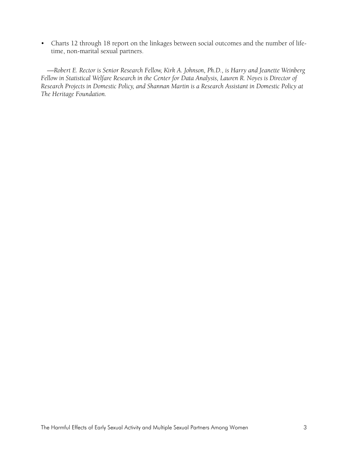• Charts 12 through 18 report on the linkages between social outcomes and the number of lifetime, non-marital sexual partners.

—*Robert E. Rector is Senior Research Fellow, Kirk A. Johnson, Ph.D., is Harry and Jeanette Weinberg Fellow in Statistical Welfare Research in the Center for Data Analysis, Lauren R. Noyes is Director of Research Projects in Domestic Policy, and Shannan Martin is a Research Assistant in Domestic Policy at The Heritage Foundation.*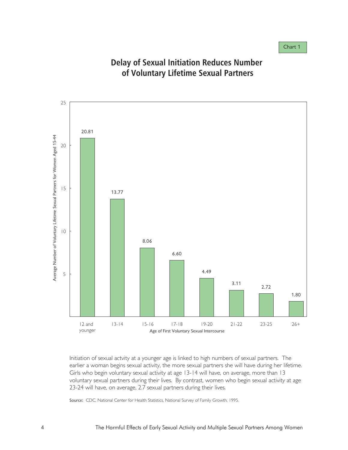

## **Delay of Sexual Initiation Reduces Number of Voluntary Lifetime Sexual Partners**

Initiation of sexual actvity at a younger age is linked to high numbers of sexual partners. The earlier a woman begins sexual activity, the more sexual partners she will have during her lifetime. Girls who begin voluntary sexual activity at age 13-14 will have, on average, more than 13 voluntary sexual partners during their lives. By contrast, women who begin sexual activity at age 23-24 will have, on average, 2.7 sexual partners during their lives.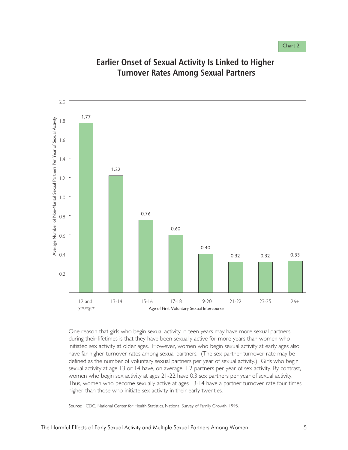

#### **Earlier Onset of Sexual Activity Is Linked to Higher Turnover Rates Among Sexual Partners**

One reason that girls who begin sexual activity in teen years may have more sexual partners during their lifetimes is that they have been sexually active for more years than women who initiated sex activity at older ages. However, women who begin sexual activity at early ages also have far higher turnover rates among sexual partners. (The sex partner turnover rate may be defined as the number of voluntary sexual partners per year of sexual activity.) Girls who begin sexual activity at age 13 or 14 have, on average, 1.2 partners per year of sex activity. By contrast, women who begin sex activity at ages 21-22 have 0.3 sex partners per year of sexual activity. Thus, women who become sexually active at ages 13-14 have a partner turnover rate four times higher than those who initiate sex activity in their early twenties.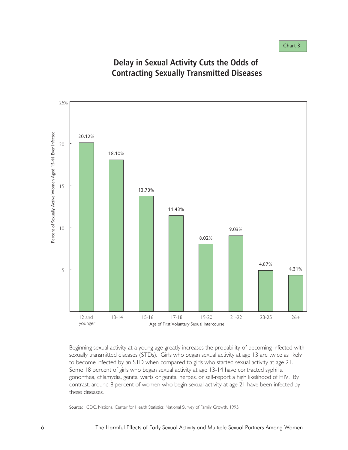

#### **Delay in Sexual Activity Cuts the Odds of Contracting Sexually Transmitted Diseases**

Beginning sexual activity at a young age greatly increases the probability of becoming infected with sexually transmitted diseases (STDs). Girls who began sexual activity at age 13 are twice as likely to become infected by an STD when compared to girls who started sexual activity at age 21. Some 18 percent of girls who began sexual activity at age 13-14 have contracted syphilis, gonorrhea, chlamydia, genital warts or genital herpes, or self-report a high likelihood of HIV. By contrast, around 8 percent of women who begin sexual activity at age 21 have been infected by these diseases.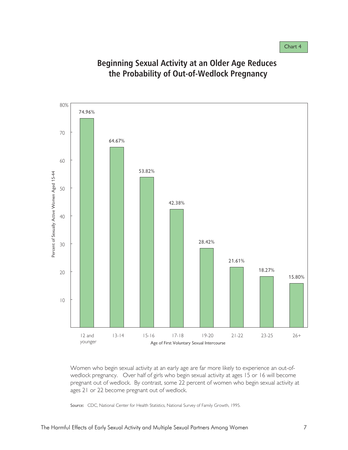Chart 4



## **Beginning Sexual Activity at an Older Age Reduces the Probability of Out-of-Wedlock Pregnancy**

Women who begin sexual activity at an early age are far more likely to experience an out-ofwedlock pregnancy. Over half of girls who begin sexual activity at ages 15 or 16 will become pregnant out of wedlock. By contrast, some 22 percent of women who begin sexual activity at ages 21 or 22 become pregnant out of wedlock.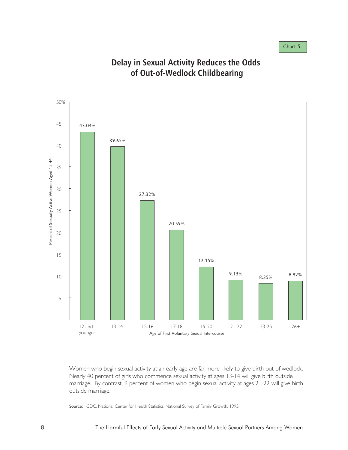

#### **Delay in Sexual Activity Reduces the Odds of Out-of-Wedlock Childbearing**

Women who begin sexual activity at an early age are far more likely to give birth out of wedlock. Nearly 40 percent of girls who commence sexual activity at ages 13-14 will give birth outside marriage. By contrast, 9 percent of women who begin sexual activity at ages 21-22 will give birth outside marriage.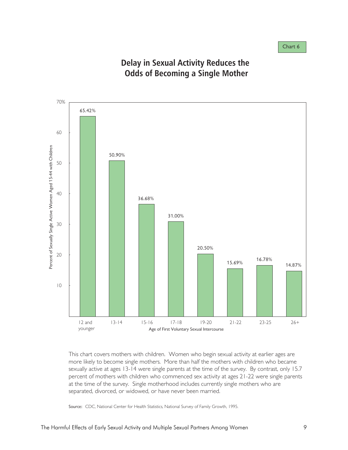

#### **Delay in Sexual Activity Reduces the Odds of Becoming a Single Mother**

This chart covers mothers with children. Women who begin sexual activity at earlier ages are more likely to become single mothers. More than half the mothers with children who became sexually active at ages 13-14 were single parents at the time of the survey. By contrast, only 15.7 percent of mothers with children who commenced sex activity at ages 21-22 were single parents at the time of the survey. Single motherhood includes currently single mothers who are separated, divorced, or widowed, or have never been married.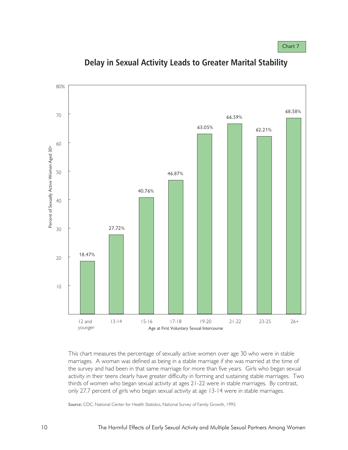

**Delay in Sexual Activity Leads to Greater Marital Stability**

This chart measures the percentage of sexually active women over age 30 who were in stable marriages. A woman was defined as being in a stable marriage if she was married at the time of the survey and had been in that same marriage for more than five years. Girls who began sexual activity in their teens clearly have greater difficulty in forming and sustaining stable marriages. Two thirds of women who began sexual activity at ages 21-22 were in stable marriages. By contrast, only 27.7 percent of girls who began sexual activity at age 13-14 were in stable marriages.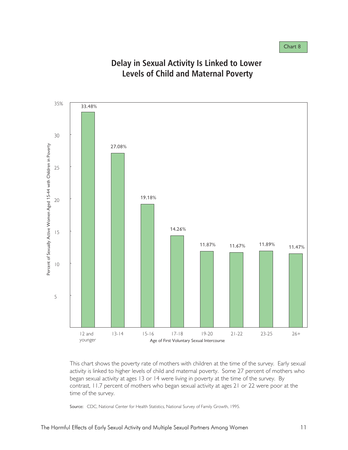

#### **Delay in Sexual Activity Is Linked to Lower Levels of Child and Maternal Poverty**

This chart shows the poverty rate of mothers with children at the time of the survey. Early sexual activity is linked to higher levels of child and maternal poverty. Some 27 percent of mothers who began sexual activity at ages 13 or 14 were living in poverty at the time of the survey. By contrast, 11.7 percent of mothers who began sexual activity at ages 21 or 22 were poor at the time of the survey.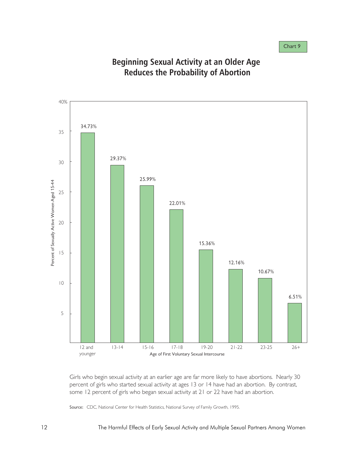Chart 9



#### **Beginning Sexual Activity at an Older Age Reduces the Probability of Abortion**

Girls who begin sexual activity at an earlier age are far more likely to have abortions. Nearly 30 percent of girls who started sexual activity at ages 13 or 14 have had an abortion. By contrast, some 12 percent of girls who began sexual activity at 21 or 22 have had an abortion.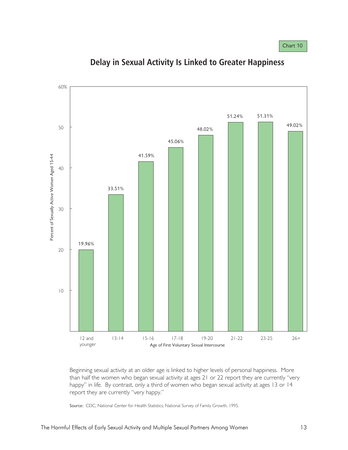

**Delay in Sexual Activity Is Linked to Greater Happiness**

Beginning sexual activity at an older age is linked to higher levels of personal happiness. More than half the women who began sexual activity at ages 21 or 22 report they are currently "very happy" in life. By contrast, only a third of women who began sexual activity at ages 13 or 14 report they are currently "very happy."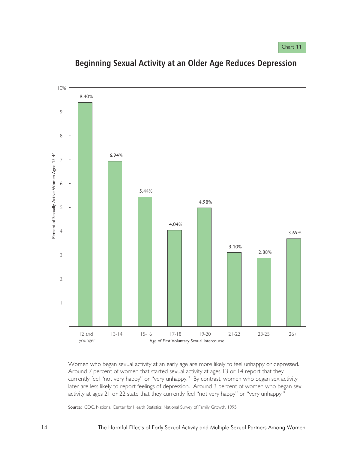

**Beginning Sexual Activity at an Older Age Reduces Depression**

Women who began sexual activity at an early age are more likely to feel unhappy or depressed. Around 7 percent of women that started sexual activity at ages 13 or 14 report that they currently feel "not very happy" or "very unhappy." By contrast, women who began sex activity later are less likely to report feelings of depression. Around 3 percent of women who began sex activity at ages 21 or 22 state that they currently feel "not very happy" or "very unhappy."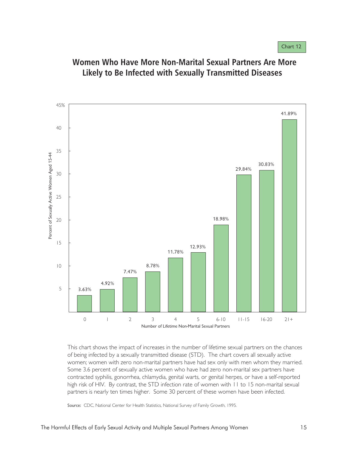

#### **Women Who Have More Non-Marital Sexual Partners Are More Likely to Be Infected with Sexually Transmitted Diseases**

This chart shows the impact of increases in the number of lifetime sexual partners on the chances of being infected by a sexually transmitted disease (STD). The chart covers all sexually active women; women with zero non-marital partners have had sex only with men whom they married. Some 3.6 percent of sexually active women who have had zero non-marital sex partners have contracted syphilis, gonorrhea, chlamydia, genital warts, or genital herpes, or have a self-reported high risk of HIV. By contrast, the STD infection rate of women with 11 to 15 non-marital sexual partners is nearly ten times higher. Some 30 percent of these women have been infected.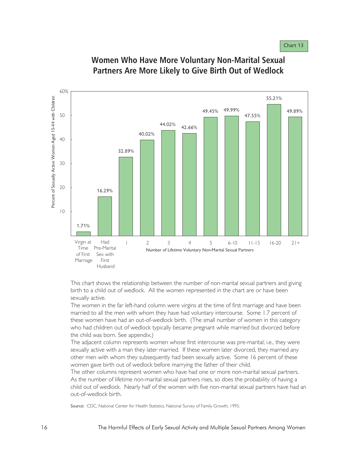Chart 13



#### **Women Who Have More Voluntary Non-Marital Sexual Partners Are More Likely to Give Birth Out of Wedlock**

This chart shows the relationship between the number of non-marital sexual partners and giving birth to a child out of wedlock. All the women represented in the chart are or have been sexually active.

The women in the far left-hand column were virgins at the time of first marriage and have been married to all the men with whom they have had voluntary intercourse. Some 1.7 percent of these women have had an out-of-wedlock birth. (The small number of women in this category who had children out of wedlock typically became pregnant while married but divorced before the child was born. See appendix.)

The adjacent column represents women whose first intercourse was pre-marital; i.e., they were sexually active with a man they later married. If these women later divorced, they married any other men with whom they subsequently had been sexually active. Some 16 percent of these women gave birth out of wedlock before marrying the father of their child.

The other columns represent women who have had one or more non-marital sexual partners. As the number of lifetime non-marital sexual partners rises, so does the probability of having a child out of wedlock. Nearly half of the women with five non-marital sexual partners have had an out-of-wedlock birth.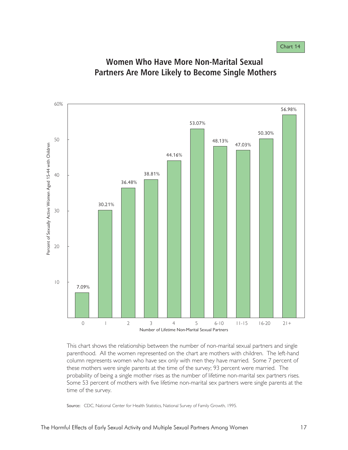

#### **Women Who Have More Non-Marital Sexual Partners Are More Likely to Become Single Mothers**

This chart shows the relationship between the number of non-marital sexual partners and single parenthood. All the women represented on the chart are mothers with children. The left-hand column represents women who have sex only with men they have married. Some 7 percent of these mothers were single parents at the time of the survey; 93 percent were married. The probability of being a single mother rises as the number of lifetime non-marital sex partners rises. Some 53 percent of mothers with five lifetime non-marital sex partners were single parents at the time of the survey.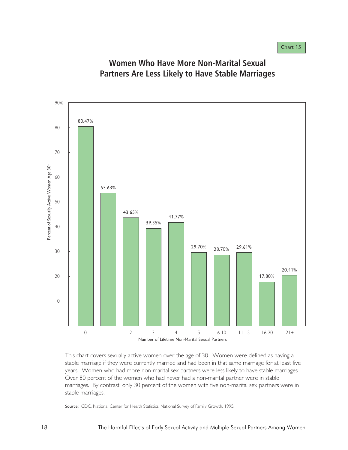

## **Women Who Have More Non-Marital Sexual Partners Are Less Likely to Have Stable Marriages**

This chart covers sexually active women over the age of 30. Women were defined as having a stable marriage if they were currently married and had been in that same marriage for at least five years. Women who had more non-marital sex partners were less likely to have stable marriages. Over 80 percent of the women who had never had a non-marital partner were in stable marriages. By contrast, only 30 percent of the women with five non-marital sex partners were in stable marriages.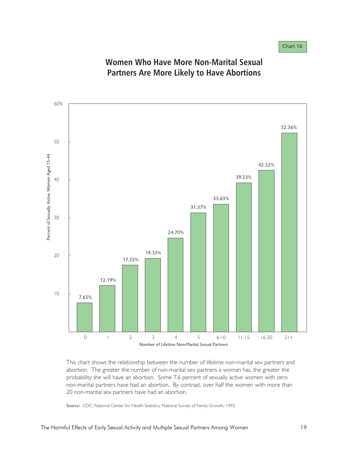Chart 16



#### **Women Who Have More Non-Marital Sexual Partners Are More Likely to Have Abortions**

This chart shows the relationship between the number of lifetime non-marital sex partners and abortion. The greater the number of non-marital sex partners a woman has, the greater the probability she will have an abortion. Some 7.6 percent of sexually active women with zero non-marital partners have had an abortion. By contrast, over half the women with more than 20 non-marital sex partners have had an abortion.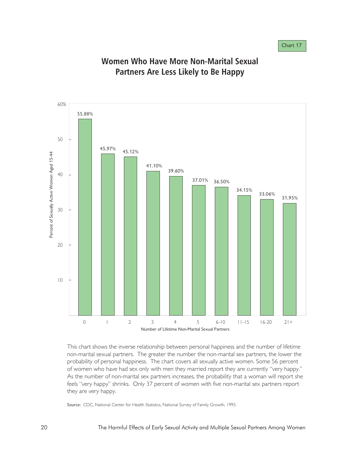Chart 17



#### **Women Who Have More Non-Marital Sexual Partners Are Less Likely to Be Happy**

This chart shows the inverse relationship between personal happiness and the number of lifetime non-marital sexual partners. The greater the number the non-marital sex partners, the lower the probability of personal happiness. The chart covers all sexually active women. Some 56 percent of women who have had sex only with men they married report they are currently "very happy." As the number of non-marital sex partners increases, the probability that a woman will report she feels "very happy" shrinks. Only 37 percent of women with five non-marital sex partners report they are very happy.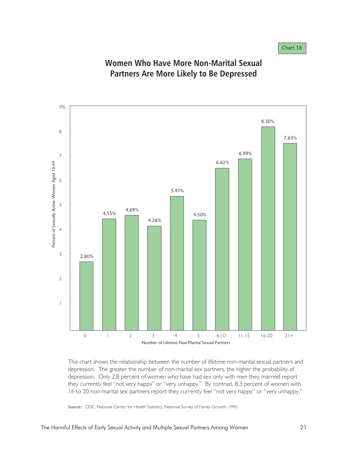

#### **Women Who Have More Non-Marital Sexual Partners Are More Likely to Be Depressed**

This chart shows the relationship between the number of lifetime non-marital sexual partners and depression. The greater the number of non-marital sex partners, the higher the probability of depression. Only 2.8 percent of women who have had sex only with men they married report they currently feel "not very happy" or "very unhappy." By contrast, 8.3 percent of women with 16 to 20 non-marital sex partners report they currently feel "not very happy" or "very unhappy."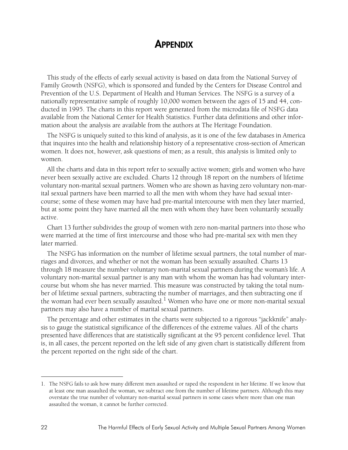#### **APPENDIX**

This study of the effects of early sexual activity is based on data from the National Survey of Family Growth (NSFG), which is sponsored and funded by the Centers for Disease Control and Prevention of the U.S. Department of Health and Human Services. The NSFG is a survey of a nationally representative sample of roughly 10,000 women between the ages of 15 and 44, conducted in 1995. The charts in this report were generated from the microdata file of NSFG data available from the National Center for Health Statistics. Further data definitions and other information about the analysis are available from the authors at The Heritage Foundation.

The NSFG is uniquely suited to this kind of analysis, as it is one of the few databases in America that inquires into the health and relationship history of a representative cross-section of American women. It does not, however, ask questions of men; as a result, this analysis is limited only to women.

All the charts and data in this report refer to sexually active women; girls and women who have never been sexually active are excluded. Charts 12 through 18 report on the numbers of lifetime voluntary non-marital sexual partners. Women who are shown as having zero voluntary non-marital sexual partners have been married to all the men with whom they have had sexual intercourse; some of these women may have had pre-marital intercourse with men they later married, but at some point they have married all the men with whom they have been voluntarily sexually active.

Chart 13 further subdivides the group of women with zero non-marital partners into those who were married at the time of first intercourse and those who had pre-marital sex with men they later married.

The NSFG has information on the number of lifetime sexual partners, the total number of marriages and divorces, and whether or not the woman has been sexually assaulted. Charts 13 through 18 measure the number voluntary non-marital sexual partners during the woman's life. A voluntary non-marital sexual partner is any man with whom the woman has had voluntary intercourse but whom she has never married. This measure was constructed by taking the total number of lifetime sexual partners, subtracting the number of marriages, and then subtracting one if the woman had ever been sexually assaulted.<sup>1</sup> Women who have one or more non-marital sexual partners may also have a number of marital sexual partners.

The percentage and other estimates in the charts were subjected to a rigorous "jackknife" analysis to gauge the statistical significance of the differences of the extreme values. All of the charts presented have differences that are statistically significant at the 95 percent confidence level. That is, in all cases, the percent reported on the left side of any given chart is statistically different from the percent reported on the right side of the chart.

<sup>1.</sup> The NSFG fails to ask how many different men assaulted or raped the respondent in her lifetime. If we know that at least one man assaulted the woman, we subtract one from the number of lifetime partners. Although this may overstate the true number of voluntary non-marital sexual partners in some cases where more than one man assaulted the woman, it cannot be further corrected.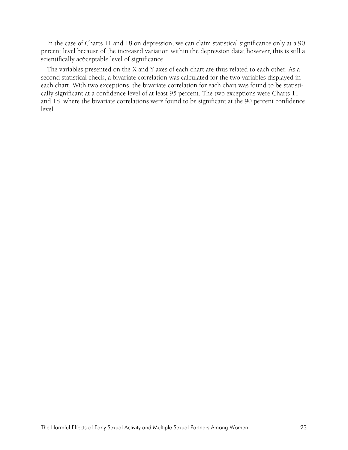In the case of Charts 11 and 18 on depression, we can claim statistical significance only at a 90 percent level because of the increased variation within the depression data; however, this is still a scientifically ac6ceptable level of significance.

The variables presented on the X and Y axes of each chart are thus related to each other. As a second statistical check, a bivariate correlation was calculated for the two variables displayed in each chart. With two exceptions, the bivariate correlation for each chart was found to be statistically significant at a confidence level of at least 95 percent. The two exceptions were Charts 11 and 18, where the bivariate correlations were found to be significant at the 90 percent confidence level.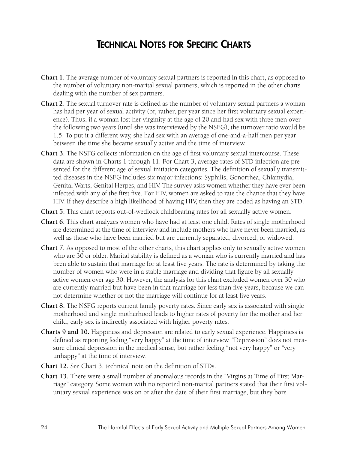## **TECHNICAL NOTES FOR SPECIFIC CHARTS**

- **Chart 1.** The average number of voluntary sexual partners is reported in this chart, as opposed to the number of voluntary non-marital sexual partners, which is reported in the other charts dealing with the number of sex partners.
- **Chart 2.** The sexual turnover rate is defined as the number of voluntary sexual partners a woman has had per year of sexual activity (or, rather, per year since her first voluntary sexual experience). Thus, if a woman lost her virginity at the age of 20 and had sex with three men over the following two years (until she was interviewed by the NSFG), the turnover ratio would be 1.5. To put it a different way, she had sex with an average of one-and-a-half men per year between the time she became sexually active and the time of interview.
- **Chart 3.** The NSFG collects information on the age of first voluntary sexual intercourse. These data are shown in Charts 1 through 11. For Chart 3, average rates of STD infection are presented for the different age of sexual initiation categories. The definition of sexually transmitted diseases in the NSFG includes six major infections: Syphilis, Gonorrhea, Chlamydia, Genital Warts, Genital Herpes, and HIV. The survey asks women whether they have ever been infected with any of the first five. For HIV, women are asked to rate the chance that they have HIV. If they describe a high likelihood of having HIV, then they are coded as having an STD.
- **Chart 5.** This chart reports out-of-wedlock childbearing rates for all sexually active women.
- **Chart 6.** This chart analyzes women who have had at least one child. Rates of single motherhood are determined at the time of interview and include mothers who have never been married, as well as those who have been married but are currently separated, divorced, or widowed.
- **Chart 7.** As opposed to most of the other charts, this chart applies only to sexually active women who are 30 or older. Marital stability is defined as a woman who is currently married and has been able to sustain that marriage for at least five years. The rate is determined by taking the number of women who were in a stable marriage and dividing that figure by all sexually active women over age 30. However, the analysis for this chart excluded women over 30 who are currently married but have been in that marriage for less than five years, because we cannot determine whether or not the marriage will continue for at least five years.
- **Chart 8.** The NSFG reports current family poverty rates. Since early sex is associated with single motherhood and single motherhood leads to higher rates of poverty for the mother and her child, early sex is indirectly associated with higher poverty rates.
- **Charts 9 and 10.** Happiness and depression are related to early sexual experience. Happiness is defined as reporting feeling "very happy" at the time of interview. "Depression" does not measure clinical depression in the medical sense, but rather feeling "not very happy" or "very unhappy" at the time of interview.
- **Chart 12.** See Chart 3, technical note on the definition of STDs.
- **Chart 13.** There were a small number of anomalous records in the "Virgins at Time of First Marriage" category. Some women with no reported non-marital partners stated that their first voluntary sexual experience was on or after the date of their first marriage, but they bore